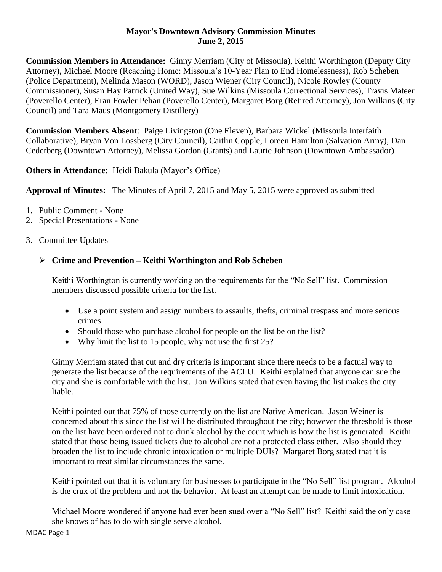### **Mayor's Downtown Advisory Commission Minutes June 2, 2015**

**Commission Members in Attendance:** Ginny Merriam (City of Missoula), Keithi Worthington (Deputy City Attorney), Michael Moore (Reaching Home: Missoula's 10-Year Plan to End Homelessness), Rob Scheben (Police Department), Melinda Mason (WORD), Jason Wiener (City Council), Nicole Rowley (County Commissioner), Susan Hay Patrick (United Way), Sue Wilkins (Missoula Correctional Services), Travis Mateer (Poverello Center), Eran Fowler Pehan (Poverello Center), Margaret Borg (Retired Attorney), Jon Wilkins (City Council) and Tara Maus (Montgomery Distillery)

**Commission Members Absent**: Paige Livingston (One Eleven), Barbara Wickel (Missoula Interfaith Collaborative), Bryan Von Lossberg (City Council), Caitlin Copple, Loreen Hamilton (Salvation Army), Dan Cederberg (Downtown Attorney), Melissa Gordon (Grants) and Laurie Johnson (Downtown Ambassador)

**Others in Attendance:** Heidi Bakula (Mayor's Office)

**Approval of Minutes:** The Minutes of April 7, 2015 and May 5, 2015 were approved as submitted

- 1. Public Comment None
- 2. Special Presentations None
- 3. Committee Updates

# **Crime and Prevention – Keithi Worthington and Rob Scheben**

Keithi Worthington is currently working on the requirements for the "No Sell" list. Commission members discussed possible criteria for the list.

- Use a point system and assign numbers to assaults, thefts, criminal trespass and more serious crimes.
- Should those who purchase alcohol for people on the list be on the list?
- Why limit the list to 15 people, why not use the first 25?

Ginny Merriam stated that cut and dry criteria is important since there needs to be a factual way to generate the list because of the requirements of the ACLU. Keithi explained that anyone can sue the city and she is comfortable with the list. Jon Wilkins stated that even having the list makes the city liable.

Keithi pointed out that 75% of those currently on the list are Native American. Jason Weiner is concerned about this since the list will be distributed throughout the city; however the threshold is those on the list have been ordered not to drink alcohol by the court which is how the list is generated. Keithi stated that those being issued tickets due to alcohol are not a protected class either. Also should they broaden the list to include chronic intoxication or multiple DUIs? Margaret Borg stated that it is important to treat similar circumstances the same.

Keithi pointed out that it is voluntary for businesses to participate in the "No Sell" list program. Alcohol is the crux of the problem and not the behavior. At least an attempt can be made to limit intoxication.

Michael Moore wondered if anyone had ever been sued over a "No Sell" list? Keithi said the only case she knows of has to do with single serve alcohol.